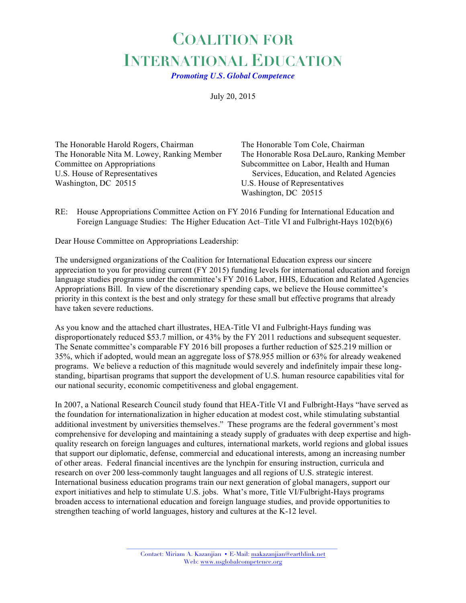## **COALITION FOR INTERNATIONAL EDUCATION**

*Promoting U.S. Global Competence*

July 20, 2015

The Honorable Harold Rogers, Chairman The Honorable Tom Cole, Chairman The Honorable Nita M. Lowey, Ranking Member The Honorable Rosa DeLauro, Ranking Member Committee on Appropriations Subcommittee on Labor, Health and Human U.S. House of Representatives Services, Education, and Related Agencies Washington, DC 20515 U.S. House of Representatives

Washington, DC 20515

RE: House Appropriations Committee Action on FY 2016 Funding for International Education and Foreign Language Studies: The Higher Education Act–Title VI and Fulbright-Hays 102(b)(6)

Dear House Committee on Appropriations Leadership:

The undersigned organizations of the Coalition for International Education express our sincere appreciation to you for providing current (FY 2015) funding levels for international education and foreign language studies programs under the committee's FY 2016 Labor, HHS, Education and Related Agencies Appropriations Bill. In view of the discretionary spending caps, we believe the House committee's priority in this context is the best and only strategy for these small but effective programs that already have taken severe reductions.

As you know and the attached chart illustrates, HEA-Title VI and Fulbright-Hays funding was disproportionately reduced \$53.7 million, or 43% by the FY 2011 reductions and subsequent sequester. The Senate committee's comparable FY 2016 bill proposes a further reduction of \$25.219 million or 35%, which if adopted, would mean an aggregate loss of \$78.955 million or 63% for already weakened programs. We believe a reduction of this magnitude would severely and indefinitely impair these longstanding, bipartisan programs that support the development of U.S. human resource capabilities vital for our national security, economic competitiveness and global engagement.

In 2007, a National Research Council study found that HEA-Title VI and Fulbright-Hays "have served as the foundation for internationalization in higher education at modest cost, while stimulating substantial additional investment by universities themselves." These programs are the federal government's most comprehensive for developing and maintaining a steady supply of graduates with deep expertise and highquality research on foreign languages and cultures, international markets, world regions and global issues that support our diplomatic, defense, commercial and educational interests, among an increasing number of other areas. Federal financial incentives are the lynchpin for ensuring instruction, curricula and research on over 200 less-commonly taught languages and all regions of U.S. strategic interest. International business education programs train our next generation of global managers, support our export initiatives and help to stimulate U.S. jobs. What's more, Title VI/Fulbright-Hays programs broaden access to international education and foreign language studies, and provide opportunities to strengthen teaching of world languages, history and cultures at the K-12 level.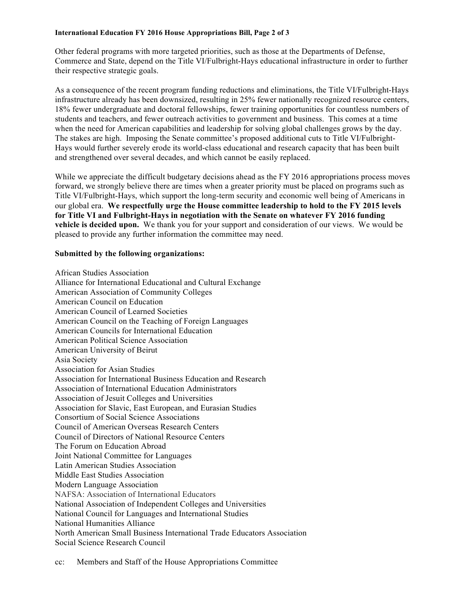## **International Education FY 2016 House Appropriations Bill, Page 2 of 3**

Other federal programs with more targeted priorities, such as those at the Departments of Defense, Commerce and State, depend on the Title VI/Fulbright-Hays educational infrastructure in order to further their respective strategic goals.

As a consequence of the recent program funding reductions and eliminations, the Title VI/Fulbright-Hays infrastructure already has been downsized, resulting in 25% fewer nationally recognized resource centers, 18% fewer undergraduate and doctoral fellowships, fewer training opportunities for countless numbers of students and teachers, and fewer outreach activities to government and business. This comes at a time when the need for American capabilities and leadership for solving global challenges grows by the day. The stakes are high. Imposing the Senate committee's proposed additional cuts to Title VI/Fulbright-Hays would further severely erode its world-class educational and research capacity that has been built and strengthened over several decades, and which cannot be easily replaced.

While we appreciate the difficult budgetary decisions ahead as the FY 2016 appropriations process moves forward, we strongly believe there are times when a greater priority must be placed on programs such as Title VI/Fulbright-Hays, which support the long-term security and economic well being of Americans in our global era. **We respectfully urge the House committee leadership to hold to the FY 2015 levels for Title VI and Fulbright-Hays in negotiation with the Senate on whatever FY 2016 funding vehicle is decided upon.** We thank you for your support and consideration of our views. We would be pleased to provide any further information the committee may need.

## **Submitted by the following organizations:**

African Studies Association Alliance for International Educational and Cultural Exchange American Association of Community Colleges American Council on Education American Council of Learned Societies American Council on the Teaching of Foreign Languages American Councils for International Education American Political Science Association American University of Beirut Asia Society Association for Asian Studies Association for International Business Education and Research Association of International Education Administrators Association of Jesuit Colleges and Universities Association for Slavic, East European, and Eurasian Studies Consortium of Social Science Associations Council of American Overseas Research Centers Council of Directors of National Resource Centers The Forum on Education Abroad Joint National Committee for Languages Latin American Studies Association Middle East Studies Association Modern Language Association NAFSA: Association of International Educators National Association of Independent Colleges and Universities National Council for Languages and International Studies National Humanities Alliance North American Small Business International Trade Educators Association Social Science Research Council